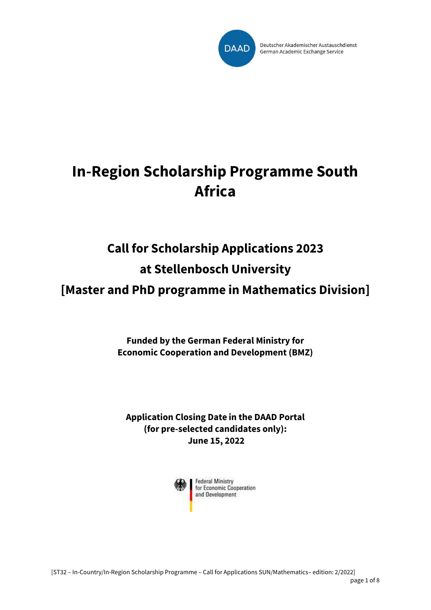

Deutscher Akademischer Austauschdienst German Academic Exchange Service

# **In-Region Scholarship Programme South Africa**

### **Call for Scholarship Applications 2023 at Stellenbosch University**

**[Master and PhD programme in Mathematics Division]**

**Funded by the German Federal Ministry for Economic Cooperation and Development (BMZ)**

**Application Closing Date in the DAAD Portal (for pre-selected candidates only): June 15, 2022**

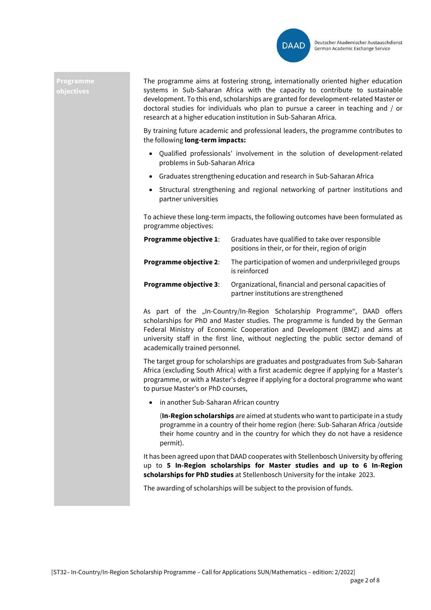

#### **Programme objectives**

The programme aims at fostering strong, internationally oriented higher education systems in Sub-Saharan Africa with the capacity to contribute to sustainable development. To this end, scholarships are granted for development-related Master or doctoral studies for individuals who plan to pursue a career in teaching and / or research at a higher education institution in Sub-Saharan Africa.

By training future academic and professional leaders, the programme contributes to the following **long-term impacts:**

- Qualified professionals' involvement in the solution of development-related problems in Sub-Saharan Africa
- Graduates strengthening education and research in Sub-Saharan Africa
- Structural strengthening and regional networking of partner institutions and partner universities

To achieve these long-term impacts, the following outcomes have been formulated as programme objectives:

| <b>Programme objective 1:</b> | Graduates have qualified to take over responsible<br>positions in their, or for their, region of origin |  |
|-------------------------------|---------------------------------------------------------------------------------------------------------|--|
| <b>Programme objective 2:</b> | The participation of women and underprivileged groups<br>is reinforced                                  |  |
| <b>Programme objective 3:</b> | Organizational, financial and personal capacities of<br>partner institutions are strengthened           |  |

As part of the "In-Country/In-Region Scholarship Programme", DAAD offers scholarships for PhD and Master studies. The programme is funded by the German Federal Ministry of Economic Cooperation and Development (BMZ) and aims at university staff in the first line, without neglecting the public sector demand of academically trained personnel.

The target group for scholarships are graduates and postgraduates from Sub-Saharan Africa (excluding South Africa) with a first academic degree if applying for a Master's programme, or with a Master's degree if applying for a doctoral programme who want to pursue Master's or PhD courses,

• in another Sub-Saharan African country

(**In-Region scholarships** are aimed at students who want to participate in a study programme in a country of their home region (here: Sub-Saharan Africa /outside their home country and in the country for which they do not have a residence permit).

It has been agreed upon that DAAD cooperates with Stellenbosch University by offering up to **5 In-Region scholarships for Master studies and up to 6 In-Region scholarships for PhD studies** at Stellenbosch University for the intake 2023.

The awarding of scholarships will be subject to the provision of funds.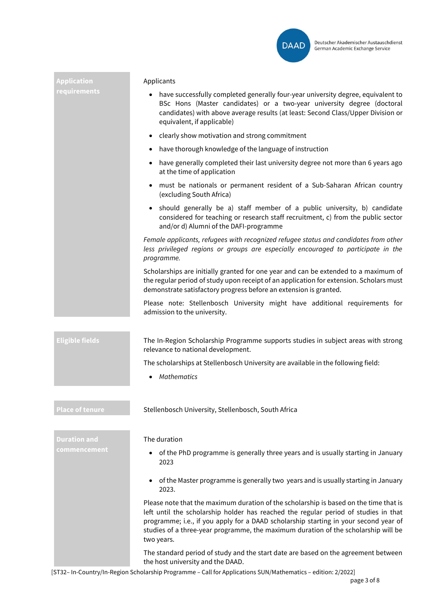

| <b>Application</b>     | Applicants                                                                                                                                                                                                                                                                                                                                                               |
|------------------------|--------------------------------------------------------------------------------------------------------------------------------------------------------------------------------------------------------------------------------------------------------------------------------------------------------------------------------------------------------------------------|
| requirements           | have successfully completed generally four-year university degree, equivalent to<br>BSc Hons (Master candidates) or a two-year university degree (doctoral<br>candidates) with above average results (at least: Second Class/Upper Division or<br>equivalent, if applicable)                                                                                             |
|                        | clearly show motivation and strong commitment<br>$\bullet$                                                                                                                                                                                                                                                                                                               |
|                        | have thorough knowledge of the language of instruction<br>$\bullet$                                                                                                                                                                                                                                                                                                      |
|                        | have generally completed their last university degree not more than 6 years ago<br>$\bullet$<br>at the time of application                                                                                                                                                                                                                                               |
|                        | must be nationals or permanent resident of a Sub-Saharan African country<br>$\bullet$<br>(excluding South Africa)                                                                                                                                                                                                                                                        |
|                        | should generally be a) staff member of a public university, b) candidate<br>٠<br>considered for teaching or research staff recruitment, c) from the public sector<br>and/or d) Alumni of the DAFI-programme                                                                                                                                                              |
|                        | Female applicants, refugees with recognized refugee status and candidates from other<br>less privileged regions or groups are especially encouraged to participate in the<br>programme.                                                                                                                                                                                  |
|                        | Scholarships are initially granted for one year and can be extended to a maximum of<br>the regular period of study upon receipt of an application for extension. Scholars must<br>demonstrate satisfactory progress before an extension is granted.                                                                                                                      |
|                        | Please note: Stellenbosch University might have additional requirements for<br>admission to the university.                                                                                                                                                                                                                                                              |
| <b>Eligible fields</b> | The In-Region Scholarship Programme supports studies in subject areas with strong<br>relevance to national development.                                                                                                                                                                                                                                                  |
|                        | The scholarships at Stellenbosch University are available in the following field:                                                                                                                                                                                                                                                                                        |
|                        | <b>Mathematics</b>                                                                                                                                                                                                                                                                                                                                                       |
| <b>Place of tenure</b> | Stellenbosch University, Stellenbosch, South Africa                                                                                                                                                                                                                                                                                                                      |
|                        |                                                                                                                                                                                                                                                                                                                                                                          |
| <b>Duration and</b>    | The duration                                                                                                                                                                                                                                                                                                                                                             |
| commencement           | of the PhD programme is generally three years and is usually starting in January<br>2023                                                                                                                                                                                                                                                                                 |
|                        | of the Master programme is generally two years and is usually starting in January<br>$\bullet$<br>2023.                                                                                                                                                                                                                                                                  |
|                        | Please note that the maximum duration of the scholarship is based on the time that is<br>left until the scholarship holder has reached the regular period of studies in that<br>programme; i.e., if you apply for a DAAD scholarship starting in your second year of<br>studies of a three-year programme, the maximum duration of the scholarship will be<br>two years. |
|                        | The standard period of study and the start date are based on the agreement between<br>the host university and the DAAD.                                                                                                                                                                                                                                                  |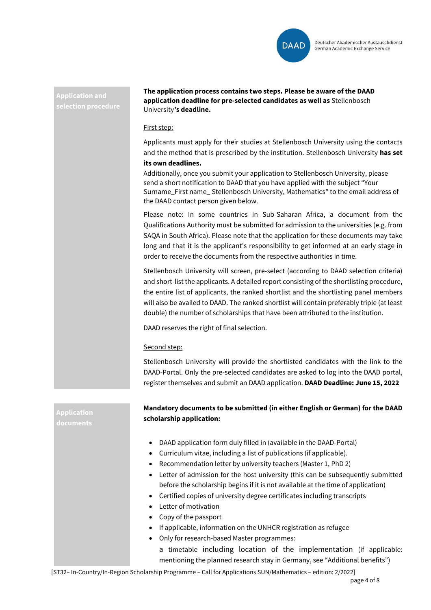

## **Application and**

**Application** 

**The application process contains two steps. Please be aware of the DAAD application deadline for pre-selected candidates as well as** Stellenbosch University**'s deadline.**

### First step:

Applicants must apply for their studies at Stellenbosch University using the contacts and the method that is prescribed by the institution. Stellenbosch University **has set its own deadlines.**

Additionally, once you submit your application to Stellenbosch University, please send a short notification to DAAD that you have applied with the subject "Your Surname\_First name\_ Stellenbosch University, Mathematics" to the email address of the DAAD contact person given below.

Please note: In some countries in Sub-Saharan Africa, a document from the Qualifications Authority must be submitted for admission to the universities (e.g. from SAQA in South Africa). Please note that the application for these documents may take long and that it is the applicant's responsibility to get informed at an early stage in order to receive the documents from the respective authorities in time.

Stellenbosch University will screen, pre-select (according to DAAD selection criteria) and short-list the applicants. A detailed report consisting of the shortlisting procedure, the entire list of applicants, the ranked shortlist and the shortlisting panel members will also be availed to DAAD. The ranked shortlist will contain preferably triple (at least double) the number of scholarships that have been attributed to the institution.

DAAD reserves the right of final selection.

### Second step:

Stellenbosch University will provide the shortlisted candidates with the link to the DAAD-Portal. Only the pre-selected candidates are asked to log into the DAAD portal, register themselves and submit an DAAD application. **DAAD Deadline: June 15, 2022**

**Mandatory documents to be submitted (in either English or German) for the DAAD scholarship application:** 

- DAAD application form duly filled in (available in the DAAD-Portal)
- Curriculum vitae, including a list of publications (if applicable).
- Recommendation letter by university teachers (Master 1, PhD 2)
- Letter of admission for the host university (this can be subsequently submitted before the scholarship begins if it is not available at the time of application)
- Certified copies of university degree certificates including transcripts
- Letter of motivation
- Copy of the passport
- If applicable, information on the UNHCR registration as refugee
- Only for research-based Master programmes:

a timetable including location of the implementation (if applicable: mentioning the planned research stay in Germany, see "Additional benefits")

[ST32– In-Country/In-Region Scholarship Programme – Call for Applications SUN/Mathematics – edition: 2/2022]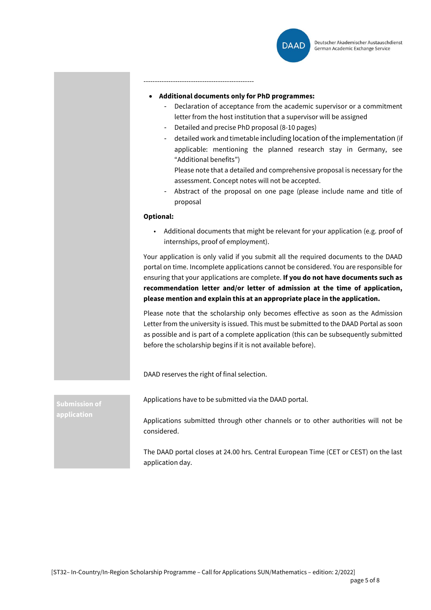

-------------------------------------------------

- **Additional documents only for PhD programmes:** 
	- Declaration of acceptance from the academic supervisor or a commitment letter from the host institution that a supervisor will be assigned
	- Detailed and precise PhD proposal (8-10 pages)
	- detailed work and timetable including location of the implementation (if applicable: mentioning the planned research stay in Germany, see "Additional benefits")

Please note that a detailed and comprehensive proposal is necessary for the assessment. Concept notes will not be accepted.

- Abstract of the proposal on one page (please include name and title of proposal

#### **Optional:**

• Additional documents that might be relevant for your application (e.g. proof of internships, proof of employment).

Your application is only valid if you submit all the required documents to the DAAD portal on time. Incomplete applications cannot be considered. You are responsible for ensuring that your applications are complete. **If you do not have documents such as recommendation letter and/or letter of admission at the time of application, please mention and explain this at an appropriate place in the application.**

Please note that the scholarship only becomes effective as soon as the Admission Letter from the university is issued. This must be submitted to the DAAD Portal as soon as possible and is part of a complete application (this can be subsequently submitted before the scholarship begins if it is not available before).

DAAD reserves the right of final selection.

**Submission of** 

Applications have to be submitted via the DAAD portal.

Applications submitted through other channels or to other authorities will not be considered.

The DAAD portal closes at 24.00 hrs. Central European Time (CET or CEST) on the last application day.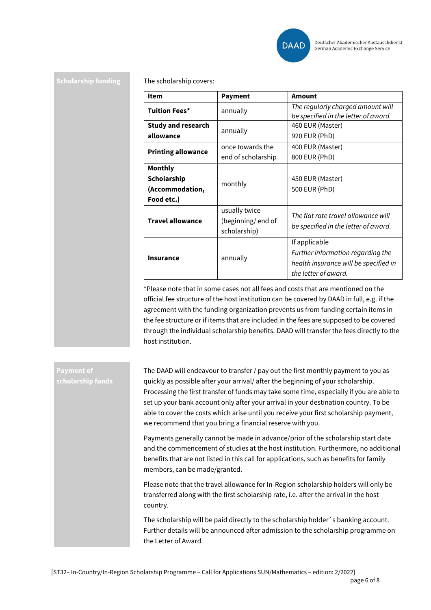

**Scholarship funding** The scholarship covers:

| <b>Item</b>                                             | <b>Payment</b>                                     | Amount                                                                                                              |
|---------------------------------------------------------|----------------------------------------------------|---------------------------------------------------------------------------------------------------------------------|
| <b>Tuition Fees*</b>                                    | annually                                           | The regularly charged amount will<br>be specified in the letter of award.                                           |
| <b>Study and research</b><br>allowance                  | annually                                           | 460 EUR (Master)<br>920 EUR (PhD)                                                                                   |
| <b>Printing allowance</b>                               | once towards the<br>end of scholarship             | 400 EUR (Master)<br>800 EUR (PhD)                                                                                   |
| Monthly<br>Scholarship<br>(Accommodation,<br>Food etc.) | monthly                                            | 450 EUR (Master)<br>500 EUR (PhD)                                                                                   |
| <b>Travel allowance</b>                                 | usually twice<br>(beginning/end of<br>scholarship) | The flat rate travel allowance will<br>be specified in the letter of award.                                         |
| <b>Insurance</b>                                        | annually                                           | If applicable<br>Further information regarding the<br>health insurance will be specified in<br>the letter of award. |

\*Please note that in some cases not all fees and costs that are mentioned on the official fee structure of the host institution can be covered by DAAD in full, e.g. if the agreement with the funding organization prevents us from funding certain items in the fee structure or if items that are included in the fees are supposed to be covered through the individual scholarship benefits. DAAD will transfer the fees directly to the host institution.

## **Payment of**

The DAAD will endeavour to transfer / pay out the first monthly payment to you as quickly as possible after your arrival/ after the beginning of your scholarship. Processing the first transfer of funds may take some time, especially if you are able to set up your bank account only after your arrival in your destination country. To be able to cover the costs which arise until you receive your first scholarship payment, we recommend that you bring a financial reserve with you.

Payments generally cannot be made in advance/prior of the scholarship start date and the commencement of studies at the host institution. Furthermore, no additional benefits that are not listed in this call for applications, such as benefits for family members, can be made/granted.

Please note that the travel allowance for In-Region scholarship holders will only be transferred along with the first scholarship rate, i.e. after the arrival in the host country.

The scholarship will be paid directly to the scholarship holder´s banking account. Further details will be announced after admission to the scholarship programme on the Letter of Award.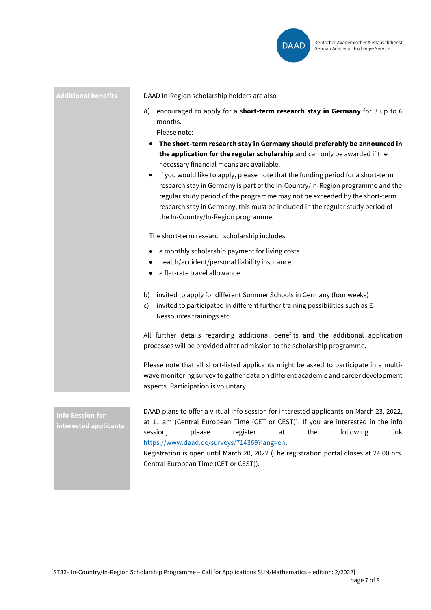![](_page_6_Picture_0.jpeg)

**Additional benefits** DAAD In-Region scholarship holders are also

- a) encouraged to apply for a s**hort-term research stay in Germany** for 3 up to 6 months.
	- Please note:
	- **The short-term research stay in Germany should preferably be announced in the application for the regular scholarship** and can only be awarded if the necessary financial means are available.
	- If you would like to apply, please note that the funding period for a short-term research stay in Germany is part of the In-Country/In-Region programme and the regular study period of the programme may not be exceeded by the short-term research stay in Germany, this must be included in the regular study period of the In-Country/In-Region programme.

The short-term research scholarship includes:

- a monthly scholarship payment for living costs
- health/accident/personal liability insurance
- a flat-rate travel allowance
- b) invited to apply for different Summer Schools in Germany (four weeks)
- c) invited to participated in different further training possibilities such as E-Ressources trainings etc

All further details regarding additional benefits and the additional application processes will be provided after admission to the scholarship programme.

Please note that all short-listed applicants might be asked to participate in a multiwave monitoring survey to gather data on different academic and career development aspects. Participation is voluntary.

**Info Session for interested applicants** DAAD plans to offer a virtual info session for interested applicants on March 23, 2022, at 11 am (Central European Time (CET or CEST)). If you are interested in the info session, please register at the following link https://www.daad.de/surveys/714369?lang=en.

> Registration is open until March 20, 2022 (The registration portal closes at 24.00 hrs. Central European Time (CET or CEST)).